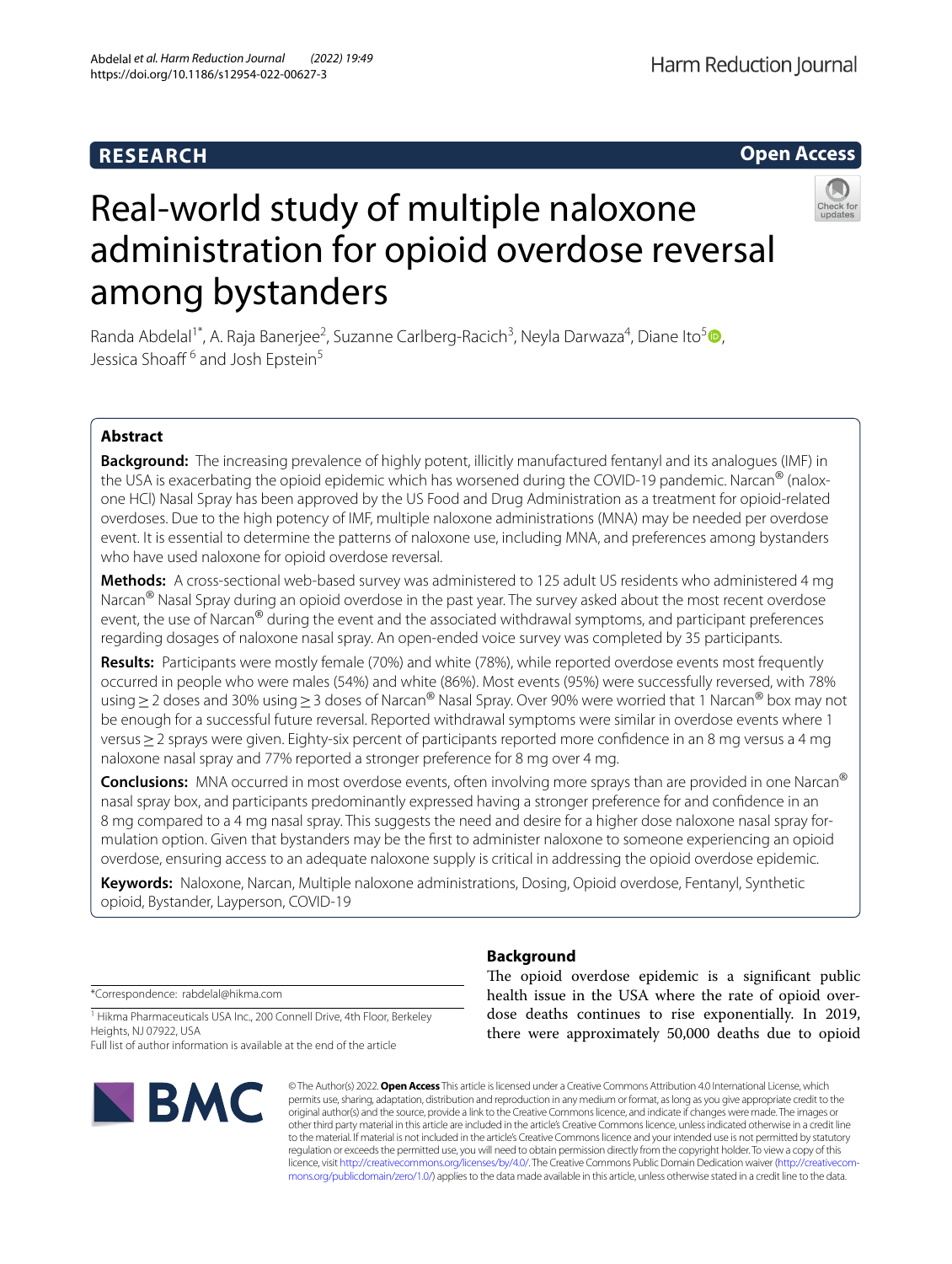# **RESEARCH**





# Real-world study of multiple naloxone administration for opioid overdose reversal among bystanders

Randa Abdelal<sup>1\*</sup>[,](http://orcid.org/0000-0003-1396-7395) A. Raja Banerjee<sup>2</sup>, Suzanne Carlberg-Racich<sup>3</sup>, Neyla Darwaza<sup>4</sup>, Diane Ito<sup>5</sup><sup>®</sup>, Jessica Shoaff<sup>6</sup> and Josh Epstein<sup>5</sup>

# **Abstract**

**Background:** The increasing prevalence of highly potent, illicitly manufactured fentanyl and its analogues (IMF) in the USA is exacerbating the opioid epidemic which has worsened during the COVID-19 pandemic. Narcan<sup>®</sup> (nalox– one HCl) Nasal Spray has been approved by the US Food and Drug Administration as a treatment for opioid-related overdoses. Due to the high potency of IMF, multiple naloxone administrations (MNA) may be needed per overdose event. It is essential to determine the patterns of naloxone use, including MNA, and preferences among bystanders who have used naloxone for opioid overdose reversal.

**Methods:** A cross-sectional web-based survey was administered to 125 adult US residents who administered 4 mg Narcan<sup>®</sup> Nasal Spray during an opioid overdose in the past year. The survey asked about the most recent overdose event, the use of Narcan® during the event and the associated withdrawal symptoms, and participant preferences regarding dosages of naloxone nasal spray. An open-ended voice survey was completed by 35 participants.

**Results:** Participants were mostly female (70%) and white (78%), while reported overdose events most frequently occurred in people who were males (54%) and white (86%). Most events (95%) were successfully reversed, with 78% using≥2 doses and 30% using≥3 doses of Narcan® Nasal Spray. Over 90% were worried that 1 Narcan® box may not be enough for a successful future reversal. Reported withdrawal symptoms were similar in overdose events where 1 versus≥2 sprays were given. Eighty-six percent of participants reported more confdence in an 8 mg versus a 4 mg naloxone nasal spray and 77% reported a stronger preference for 8 mg over 4 mg.

**Conclusions:** MNA occurred in most overdose events, often involving more sprays than are provided in one Narcan® nasal spray box, and participants predominantly expressed having a stronger preference for and confdence in an 8 mg compared to a 4 mg nasal spray. This suggests the need and desire for a higher dose naloxone nasal spray formulation option. Given that bystanders may be the frst to administer naloxone to someone experiencing an opioid overdose, ensuring access to an adequate naloxone supply is critical in addressing the opioid overdose epidemic.

**Keywords:** Naloxone, Narcan, Multiple naloxone administrations, Dosing, Opioid overdose, Fentanyl, Synthetic opioid, Bystander, Layperson, COVID-19

\*Correspondence: rabdelal@hikma.com

<sup>1</sup> Hikma Pharmaceuticals USA Inc., 200 Connell Drive, 4th Floor, Berkeley Heights, NJ 07922, USA

Full list of author information is available at the end of the article



# **Background**

The opioid overdose epidemic is a significant public health issue in the USA where the rate of opioid overdose deaths continues to rise exponentially. In 2019, there were approximately 50,000 deaths due to opioid

© The Author(s) 2022. **Open Access** This article is licensed under a Creative Commons Attribution 4.0 International License, which permits use, sharing, adaptation, distribution and reproduction in any medium or format, as long as you give appropriate credit to the original author(s) and the source, provide a link to the Creative Commons licence, and indicate if changes were made. The images or other third party material in this article are included in the article's Creative Commons licence, unless indicated otherwise in a credit line to the material. If material is not included in the article's Creative Commons licence and your intended use is not permitted by statutory regulation or exceeds the permitted use, you will need to obtain permission directly from the copyright holder. To view a copy of this licence, visit [http://creativecommons.org/licenses/by/4.0/.](http://creativecommons.org/licenses/by/4.0/) The Creative Commons Public Domain Dedication waiver (http://creativecom· [mons.org/publicdomain/zero/1.0/\)](http://creativecommons.org/publicdomain/zero/1.0/) applies to the data made available in this article, unless otherwise stated in a credit line to the data.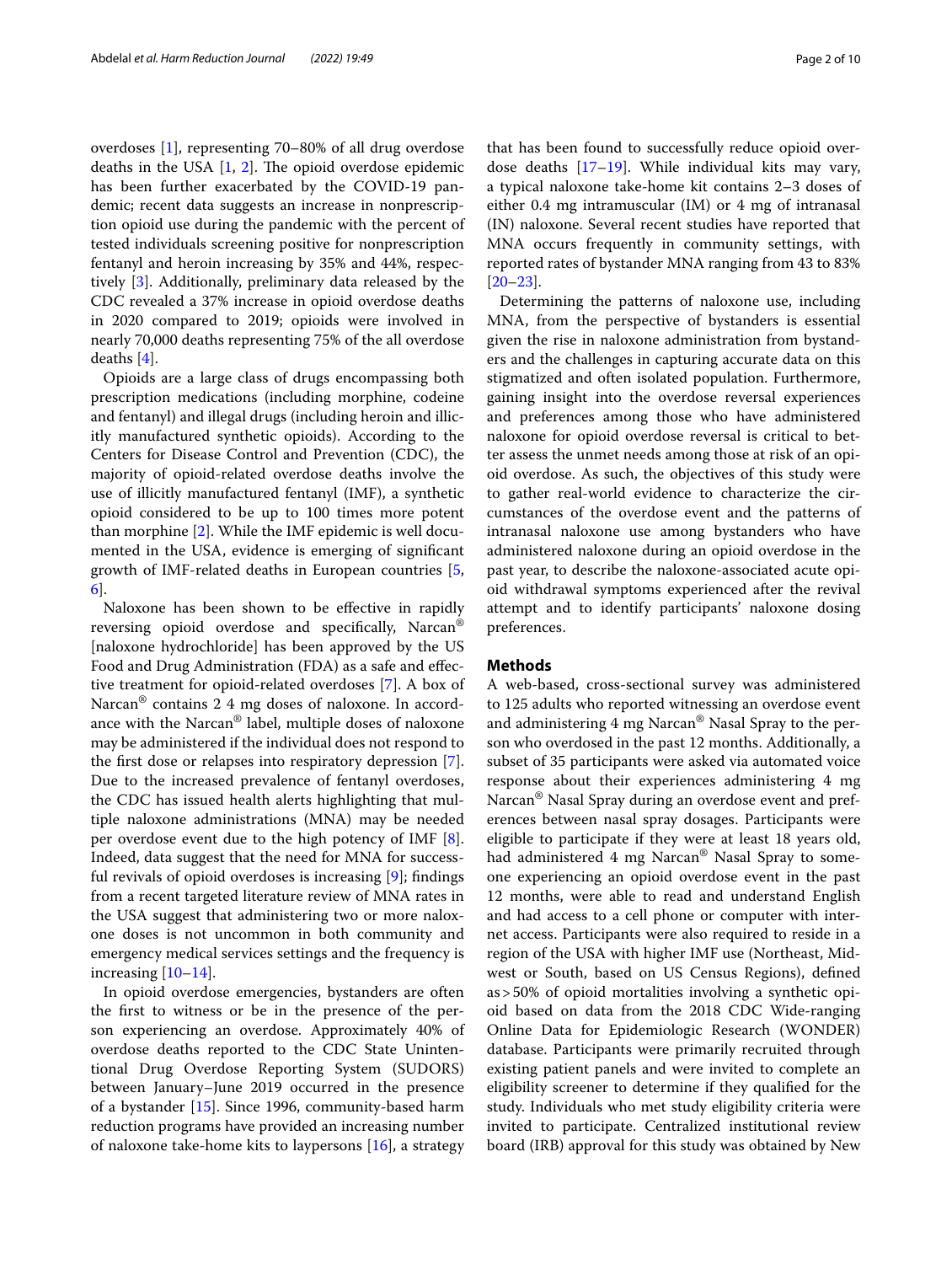overdoses [[1\]](#page-9-0), representing 70–80% of all drug overdose deaths in the USA  $[1, 2]$  $[1, 2]$  $[1, 2]$ . The opioid overdose epidemic has been further exacerbated by the COVID-19 pandemic; recent data suggests an increase in nonprescription opioid use during the pandemic with the percent of tested individuals screening positive for nonprescription fentanyl and heroin increasing by 35% and 44%, respectively [\[3](#page-9-2)]. Additionally, preliminary data released by the CDC revealed a 37% increase in opioid overdose deaths in 2020 compared to 2019; opioids were involved in nearly 70,000 deaths representing 75% of the all overdose deaths [[4\]](#page-9-3).

Opioids are a large class of drugs encompassing both prescription medications (including morphine, codeine and fentanyl) and illegal drugs (including heroin and illicitly manufactured synthetic opioids). According to the Centers for Disease Control and Prevention (CDC), the majority of opioid-related overdose deaths involve the use of illicitly manufactured fentanyl (IMF), a synthetic opioid considered to be up to 100 times more potent than morphine [[2\]](#page-9-1). While the IMF epidemic is well documented in the USA, evidence is emerging of signifcant growth of IMF-related deaths in European countries [\[5](#page-9-4), [6\]](#page-9-5).

Naloxone has been shown to be efective in rapidly reversing opioid overdose and specifcally, Narcan® [naloxone hydrochloride] has been approved by the US Food and Drug Administration (FDA) as a safe and efective treatment for opioid-related overdoses [[7\]](#page-9-6). A box of Narcan® contains 2 4 mg doses of naloxone. In accordance with the Narcan® label, multiple doses of naloxone may be administered if the individual does not respond to the frst dose or relapses into respiratory depression [\[7](#page-9-6)]. Due to the increased prevalence of fentanyl overdoses, the CDC has issued health alerts highlighting that multiple naloxone administrations (MNA) may be needed per overdose event due to the high potency of IMF [\[8](#page-9-7)]. Indeed, data suggest that the need for MNA for successful revivals of opioid overdoses is increasing [[9\]](#page-9-8); fndings from a recent targeted literature review of MNA rates in the USA suggest that administering two or more naloxone doses is not uncommon in both community and emergency medical services settings and the frequency is increasing [\[10](#page-9-9)–[14\]](#page-9-10).

In opioid overdose emergencies, bystanders are often the frst to witness or be in the presence of the person experiencing an overdose. Approximately 40% of overdose deaths reported to the CDC State Unintentional Drug Overdose Reporting System (SUDORS) between January–June 2019 occurred in the presence of a bystander [\[15](#page-9-11)]. Since 1996, community-based harm reduction programs have provided an increasing number of naloxone take-home kits to laypersons  $[16]$  $[16]$ , a strategy that has been found to successfully reduce opioid overdose deaths [[17–](#page-9-13)[19\]](#page-9-14). While individual kits may vary, a typical naloxone take-home kit contains 2–3 doses of either 0.4 mg intramuscular (IM) or 4 mg of intranasal (IN) naloxone. Several recent studies have reported that MNA occurs frequently in community settings, with reported rates of bystander MNA ranging from 43 to 83% [[20–](#page-9-15)[23\]](#page-9-16).

Determining the patterns of naloxone use, including MNA, from the perspective of bystanders is essential given the rise in naloxone administration from bystanders and the challenges in capturing accurate data on this stigmatized and often isolated population. Furthermore, gaining insight into the overdose reversal experiences and preferences among those who have administered naloxone for opioid overdose reversal is critical to better assess the unmet needs among those at risk of an opioid overdose. As such, the objectives of this study were to gather real-world evidence to characterize the circumstances of the overdose event and the patterns of intranasal naloxone use among bystanders who have administered naloxone during an opioid overdose in the past year, to describe the naloxone-associated acute opioid withdrawal symptoms experienced after the revival attempt and to identify participants' naloxone dosing preferences.

## **Methods**

A web-based, cross-sectional survey was administered to 125 adults who reported witnessing an overdose event and administering 4 mg Narcan® Nasal Spray to the person who overdosed in the past 12 months. Additionally, a subset of 35 participants were asked via automated voice response about their experiences administering 4 mg Narcan® Nasal Spray during an overdose event and preferences between nasal spray dosages. Participants were eligible to participate if they were at least 18 years old, had administered 4 mg Narcan® Nasal Spray to someone experiencing an opioid overdose event in the past 12 months, were able to read and understand English and had access to a cell phone or computer with internet access. Participants were also required to reside in a region of the USA with higher IMF use (Northeast, Midwest or South, based on US Census Regions), defned as>50% of opioid mortalities involving a synthetic opioid based on data from the 2018 CDC Wide-ranging Online Data for Epidemiologic Research (WONDER) database. Participants were primarily recruited through existing patient panels and were invited to complete an eligibility screener to determine if they qualifed for the study. Individuals who met study eligibility criteria were invited to participate. Centralized institutional review board (IRB) approval for this study was obtained by New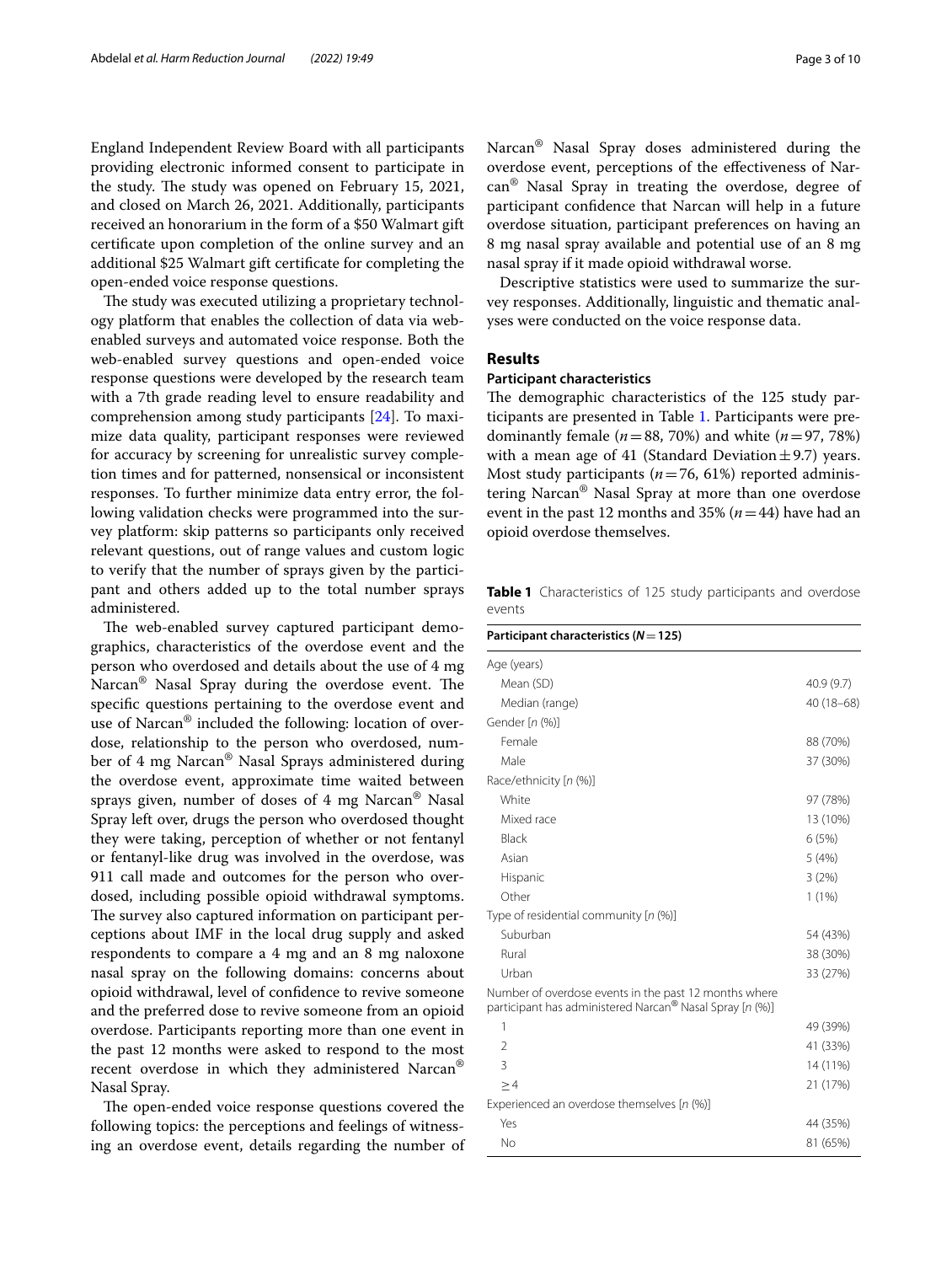England Independent Review Board with all participants providing electronic informed consent to participate in the study. The study was opened on February 15, 2021, and closed on March 26, 2021. Additionally, participants received an honorarium in the form of a \$50 Walmart gift certifcate upon completion of the online survey and an additional \$25 Walmart gift certifcate for completing the open-ended voice response questions.

The study was executed utilizing a proprietary technology platform that enables the collection of data via webenabled surveys and automated voice response. Both the web-enabled survey questions and open-ended voice response questions were developed by the research team with a 7th grade reading level to ensure readability and comprehension among study participants [[24](#page-9-17)]. To maximize data quality, participant responses were reviewed for accuracy by screening for unrealistic survey completion times and for patterned, nonsensical or inconsistent responses. To further minimize data entry error, the following validation checks were programmed into the survey platform: skip patterns so participants only received relevant questions, out of range values and custom logic to verify that the number of sprays given by the participant and others added up to the total number sprays administered.

The web-enabled survey captured participant demographics, characteristics of the overdose event and the person who overdosed and details about the use of 4 mg Narcan<sup>®</sup> Nasal Spray during the overdose event. The specifc questions pertaining to the overdose event and use of Narcan® included the following: location of overdose, relationship to the person who overdosed, number of 4 mg Narcan® Nasal Sprays administered during the overdose event, approximate time waited between sprays given, number of doses of 4 mg Narcan® Nasal Spray left over, drugs the person who overdosed thought they were taking, perception of whether or not fentanyl or fentanyl-like drug was involved in the overdose, was 911 call made and outcomes for the person who overdosed, including possible opioid withdrawal symptoms. The survey also captured information on participant perceptions about IMF in the local drug supply and asked respondents to compare a 4 mg and an 8 mg naloxone nasal spray on the following domains: concerns about opioid withdrawal, level of confdence to revive someone and the preferred dose to revive someone from an opioid overdose. Participants reporting more than one event in the past 12 months were asked to respond to the most recent overdose in which they administered Narcan® Nasal Spray.

The open-ended voice response questions covered the following topics: the perceptions and feelings of witnessing an overdose event, details regarding the number of Narcan® Nasal Spray doses administered during the overdose event, perceptions of the efectiveness of Narcan® Nasal Spray in treating the overdose, degree of participant confdence that Narcan will help in a future overdose situation, participant preferences on having an 8 mg nasal spray available and potential use of an 8 mg nasal spray if it made opioid withdrawal worse.

Descriptive statistics were used to summarize the survey responses. Additionally, linguistic and thematic analyses were conducted on the voice response data.

## **Results**

## **Participant characteristics**

The demographic characteristics of the 125 study participants are presented in Table [1](#page-2-0). Participants were predominantly female ( $n=88$ , 70%) and white ( $n=97, 78%$ ) with a mean age of 41 (Standard Deviation  $\pm$  9.7) years. Most study participants (*n*=76, 61%) reported administering Narcan® Nasal Spray at more than one overdose event in the past 12 months and 35% (*n*=44) have had an opioid overdose themselves.

<span id="page-2-0"></span>**Table 1** Characteristics of 125 study participants and overdose events

| Participant characteristics ( $N = 125$ )                                                                         |            |  |
|-------------------------------------------------------------------------------------------------------------------|------------|--|
| Age (years)                                                                                                       |            |  |
| Mean (SD)                                                                                                         | 40.9(9.7)  |  |
| Median (range)                                                                                                    | 40 (18-68) |  |
| Gender [n (%)]                                                                                                    |            |  |
| Female                                                                                                            | 88 (70%)   |  |
| Male                                                                                                              | 37 (30%)   |  |
| Race/ethnicity [n (%)]                                                                                            |            |  |
| White                                                                                                             | 97 (78%)   |  |
| Mixed race                                                                                                        | 13 (10%)   |  |
| <b>Black</b>                                                                                                      | 6(5%)      |  |
| Asian                                                                                                             | 5 (4%)     |  |
| Hispanic                                                                                                          | 3(2%)      |  |
| Other                                                                                                             | $1(1\%)$   |  |
| Type of residential community $[n (%)]$                                                                           |            |  |
| Suburban                                                                                                          | 54 (43%)   |  |
| Rural                                                                                                             | 38 (30%)   |  |
| Urban                                                                                                             | 33 (27%)   |  |
| Number of overdose events in the past 12 months where<br>participant has administered Narcan® Nasal Spray [n (%)] |            |  |
| 1                                                                                                                 | 49 (39%)   |  |
| $\overline{2}$                                                                                                    | 41 (33%)   |  |
| 3                                                                                                                 | 14 (11%)   |  |
| >4                                                                                                                | 21 (17%)   |  |
| Experienced an overdose themselves [n (%)]                                                                        |            |  |
| Yes                                                                                                               | 44 (35%)   |  |
| No                                                                                                                | 81 (65%)   |  |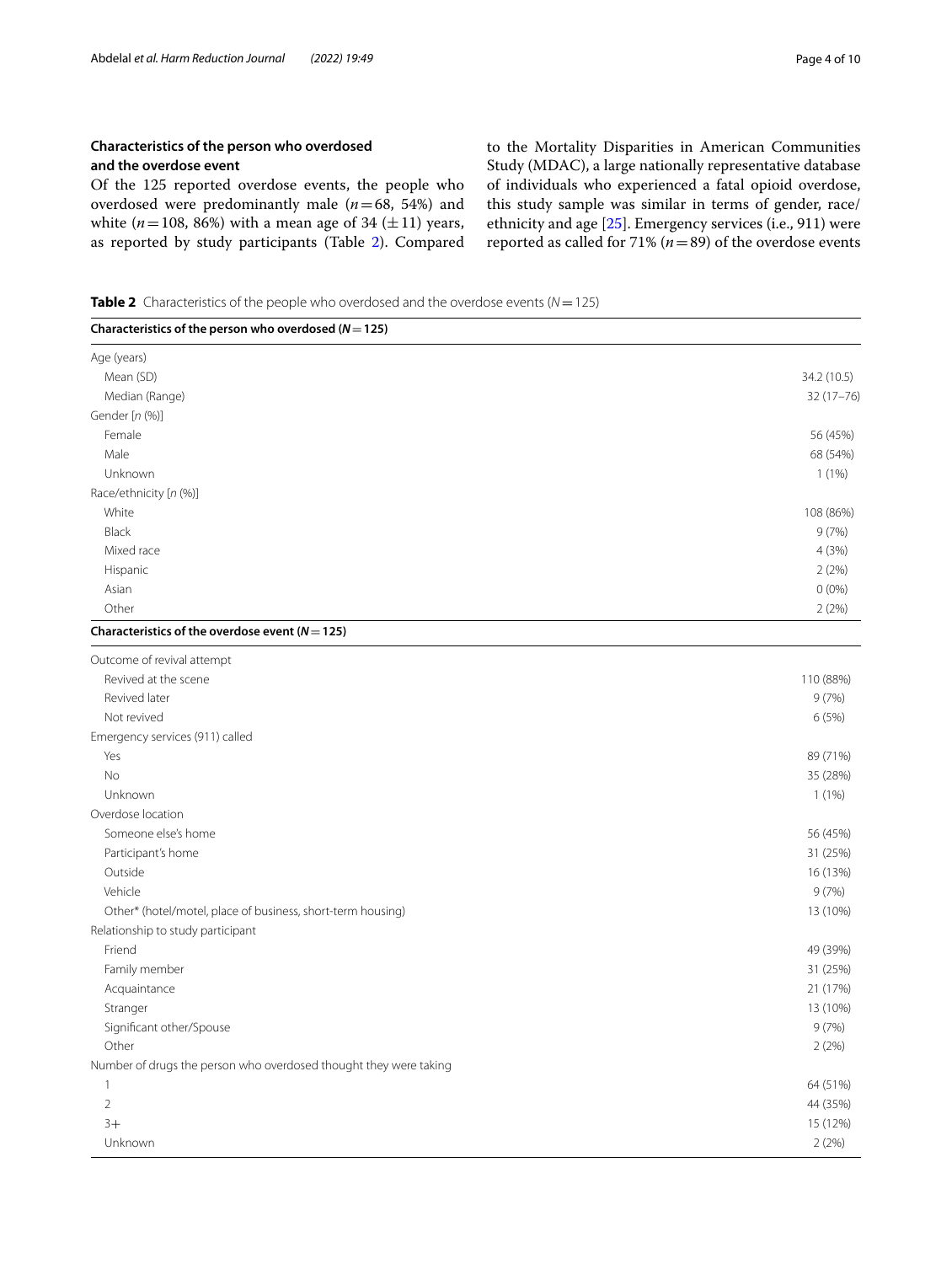## **Characteristics of the person who overdosed and the overdose event**

Of the 125 reported overdose events, the people who overdosed were predominantly male (*n*=68, 54%) and white  $(n=108, 86%)$  with a mean age of 34  $(\pm 11)$  years, as reported by study participants (Table [2](#page-3-0)). Compared to the Mortality Disparities in American Communities Study (MDAC), a large nationally representative database of individuals who experienced a fatal opioid overdose, this study sample was similar in terms of gender, race/ ethnicity and age [[25](#page-9-18)]. Emergency services (i.e., 911) were reported as called for 71% (*n*=89) of the overdose events

<span id="page-3-0"></span>**Table 2** Characteristics of the people who overdosed and the overdose events (*N* = 125)

| Characteristics of the person who overdosed ( $N = 125$ )         |             |
|-------------------------------------------------------------------|-------------|
| Age (years)                                                       |             |
| Mean (SD)                                                         | 34.2 (10.5) |
| Median (Range)                                                    | 32 (17-76)  |
| Gender [n (%)]                                                    |             |
| Female                                                            | 56 (45%)    |
| Male                                                              | 68 (54%)    |
| Unknown                                                           | $1(1\%)$    |
| Race/ethnicity [n (%)]                                            |             |
| White                                                             | 108 (86%)   |
| <b>Black</b>                                                      | 9(7%)       |
| Mixed race                                                        | 4(3%)       |
| Hispanic                                                          | 2(2%)       |
| Asian                                                             | $0(0\%)$    |
| Other                                                             | 2(2%)       |
| Characteristics of the overdose event ( $N = 125$ )               |             |
| Outcome of revival attempt                                        |             |
| Revived at the scene                                              | 110 (88%)   |
| Revived later                                                     | 9(7%)       |
| Not revived                                                       | 6(5%)       |
| Emergency services (911) called                                   |             |
| Yes                                                               | 89 (71%)    |
| No                                                                | 35 (28%)    |
| Unknown                                                           | $1(1\%)$    |
| Overdose location                                                 |             |
| Someone else's home                                               | 56 (45%)    |
| Participant's home                                                | 31 (25%)    |
| Outside                                                           | 16 (13%)    |
| Vehicle                                                           | 9(7%)       |
| Other* (hotel/motel, place of business, short-term housing)       | 13 (10%)    |
| Relationship to study participant                                 |             |
| Friend                                                            | 49 (39%)    |
| Family member                                                     | 31 (25%)    |
| Acquaintance                                                      | 21 (17%)    |
| Stranger                                                          | 13 (10%)    |
| Significant other/Spouse                                          | 9(7%)       |
| Other                                                             | 2(2%)       |
| Number of drugs the person who overdosed thought they were taking |             |
| $\mathbf{1}$                                                      | 64 (51%)    |
| $\overline{2}$                                                    | 44 (35%)    |
| $3+$                                                              | 15 (12%)    |
| Unknown                                                           | 2(2%)       |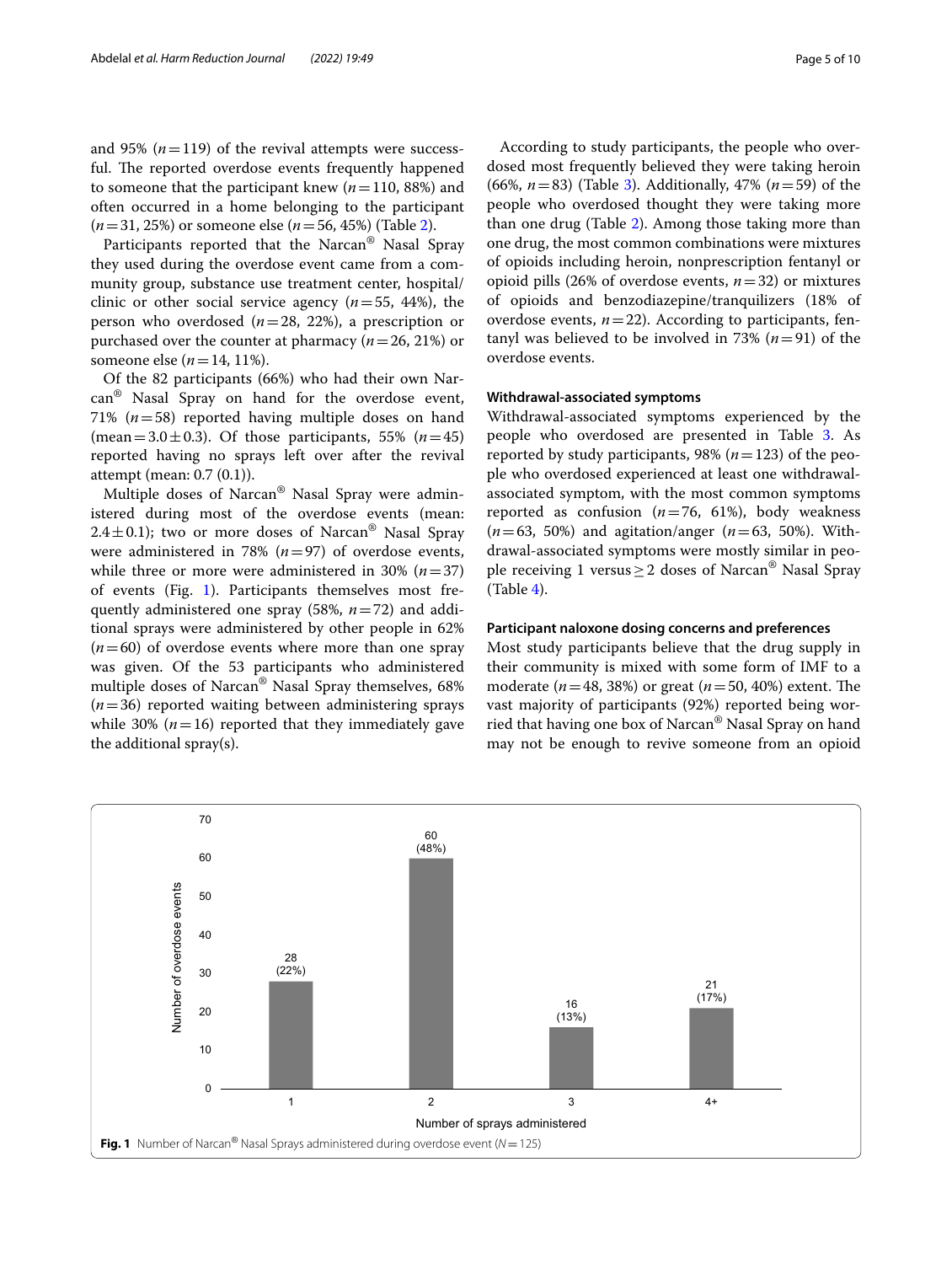and 95%  $(n=119)$  of the revival attempts were successful. The reported overdose events frequently happened to someone that the participant knew (*n*=110, 88%) and often occurred in a home belonging to the participant (*n*=31, 25%) or someone else (*n*=56, 45%) (Table [2\)](#page-3-0).

Participants reported that the Narcan® Nasal Spray they used during the overdose event came from a community group, substance use treatment center, hospital/ clinic or other social service agency  $(n=55, 44%)$ , the person who overdosed (*n*=28, 22%), a prescription or purchased over the counter at pharmacy (*n*=26, 21%) or someone else (*n*=14, 11%).

Of the 82 participants (66%) who had their own Narcan® Nasal Spray on hand for the overdose event, 71% (*n*=58) reported having multiple doses on hand (mean=3.0 $\pm$ 0.3). Of those participants, 55% (*n*=45) reported having no sprays left over after the revival attempt (mean: 0.7 (0.1)).

Multiple doses of Narcan® Nasal Spray were administered during most of the overdose events (mean: 2.4 $\pm$ 0.1); two or more doses of Narcan<sup>®</sup> Nasal Spray were administered in 78%  $(n=97)$  of overdose events, while three or more were administered in 30% (*n*=37) of events (Fig. [1\)](#page-4-0). Participants themselves most frequently administered one spray (58%, *n*=72) and additional sprays were administered by other people in 62%  $(n=60)$  of overdose events where more than one spray was given. Of the 53 participants who administered multiple doses of Narcan® Nasal Spray themselves, 68% (*n*=36) reported waiting between administering sprays while 30%  $(n=16)$  reported that they immediately gave the additional spray(s).

According to study participants, the people who overdosed most frequently believed they were taking heroin (66%, *n*=83) (Table [3](#page-5-0)). Additionally, 47% (*n*=59) of the people who overdosed thought they were taking more than one drug (Table [2\)](#page-3-0). Among those taking more than one drug, the most common combinations were mixtures of opioids including heroin, nonprescription fentanyl or opioid pills (26% of overdose events, *n*=32) or mixtures of opioids and benzodiazepine/tranquilizers (18% of overdose events,  $n=22$ ). According to participants, fentanyl was believed to be involved in 73%  $(n=91)$  of the overdose events.

## **Withdrawal‑associated symptoms**

Withdrawal-associated symptoms experienced by the people who overdosed are presented in Table [3.](#page-5-0) As reported by study participants,  $98\%$  ( $n=123$ ) of the people who overdosed experienced at least one withdrawalassociated symptom, with the most common symptoms reported as confusion (*n*=76, 61%), body weakness (*n*=63, 50%) and agitation/anger (*n*=63, 50%). Withdrawal-associated symptoms were mostly similar in people receiving 1 versus  $\geq$  2 doses of Narcan<sup>®</sup> Nasal Spray (Table [4\)](#page-5-1).

#### **Participant naloxone dosing concerns and preferences**

Most study participants believe that the drug supply in their community is mixed with some form of IMF to a moderate ( $n = 48$ , 38%) or great ( $n = 50$ , 40%) extent. The vast majority of participants (92%) reported being worried that having one box of Narcan® Nasal Spray on hand may not be enough to revive someone from an opioid

<span id="page-4-0"></span>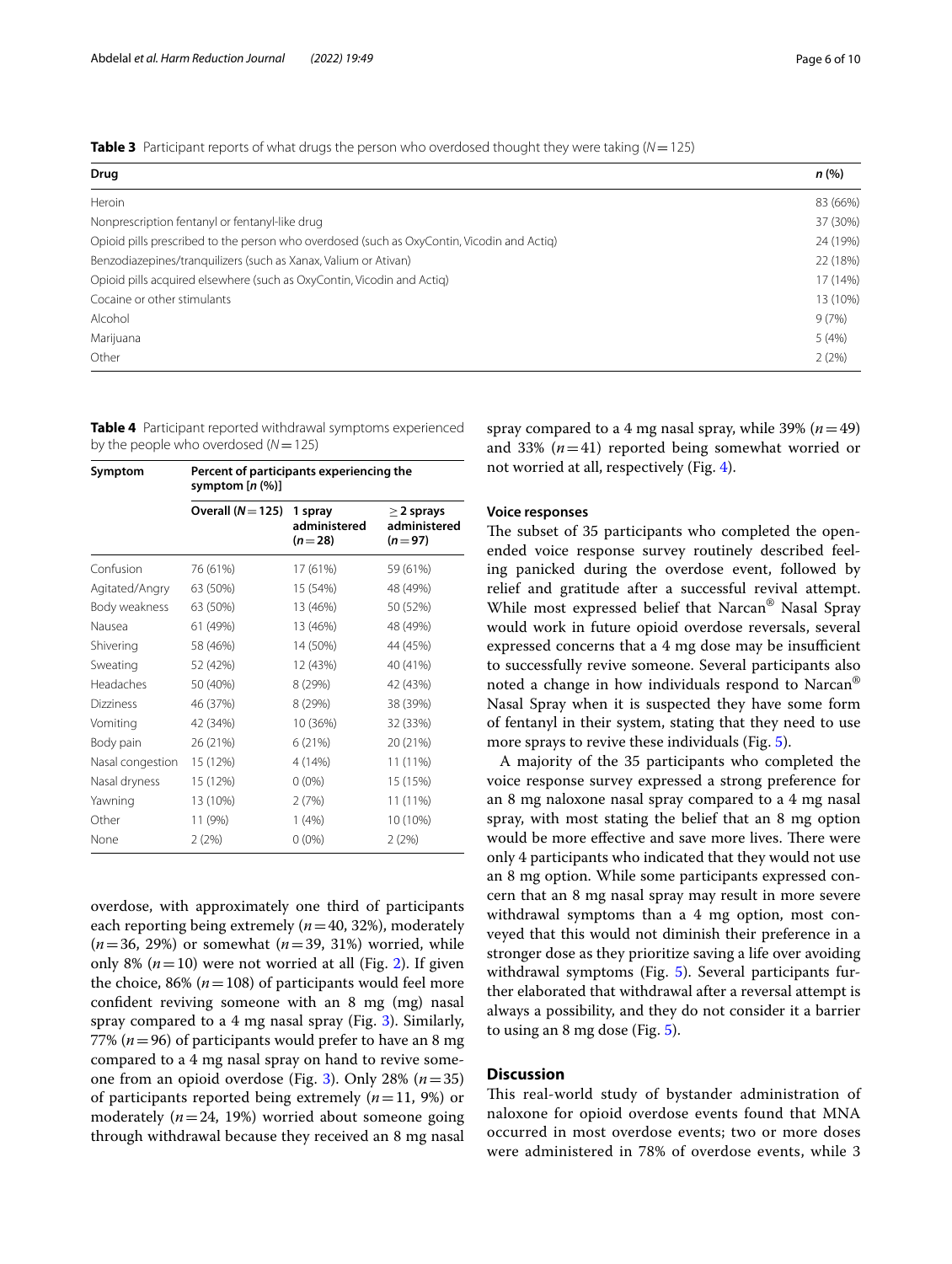<span id="page-5-0"></span>**Table 3** Participant reports of what drugs the person who overdosed thought they were taking (*N*=125)

| Drug                                                                                       | n(% )    |
|--------------------------------------------------------------------------------------------|----------|
| Heroin                                                                                     | 83 (66%) |
| Nonprescription fentanyl or fentanyl-like drug                                             | 37 (30%) |
| Opioid pills prescribed to the person who overdosed (such as OxyContin, Vicodin and Actiq) | 24 (19%) |
| Benzodiazepines/tranquilizers (such as Xanax, Valium or Ativan)                            | 22 (18%) |
| Opioid pills acquired elsewhere (such as OxyContin, Vicodin and Actig)                     | 17 (14%) |
| Cocaine or other stimulants                                                                | 13 (10%) |
| Alcohol                                                                                    | 9(7%)    |
| Marijuana                                                                                  | 5(4%)    |
| Other                                                                                      | 2(2%)    |

<span id="page-5-1"></span>**Table 4** Participant reported withdrawal symptoms experienced by the people who overdosed (*N*=125)

| Symptom          | Percent of participants experiencing the<br>symptom $[n (%)]$ |                                     |                                             |  |
|------------------|---------------------------------------------------------------|-------------------------------------|---------------------------------------------|--|
|                  | Overall $(N=125)$                                             | 1 spray<br>administered<br>$(n=28)$ | $\geq$ 2 sprays<br>administered<br>$(n=97)$ |  |
| Confusion        | 76 (61%)                                                      | 17 (61%)                            | 59 (61%)                                    |  |
| Agitated/Angry   | 63 (50%)                                                      | 15 (54%)                            | 48 (49%)                                    |  |
| Body weakness    | 63 (50%)                                                      | 13 (46%)                            | 50 (52%)                                    |  |
| Nausea           | 61 (49%)                                                      | 13 (46%)                            | 48 (49%)                                    |  |
| Shivering        | 58 (46%)                                                      | 14 (50%)                            | 44 (45%)                                    |  |
| Sweating         | 52 (42%)                                                      | 12 (43%)                            | 40 (41%)                                    |  |
| Headaches        | 50 (40%)                                                      | 8 (29%)                             | 42 (43%)                                    |  |
| <b>Dizziness</b> | 46 (37%)                                                      | 8 (29%)                             | 38 (39%)                                    |  |
| Vomiting         | 42 (34%)                                                      | 10 (36%)                            | 32 (33%)                                    |  |
| Body pain        | 26 (21%)                                                      | 6(21%)                              | 20 (21%)                                    |  |
| Nasal congestion | 15 (12%)                                                      | 4 (14%)                             | 11 (11%)                                    |  |
| Nasal dryness    | 15 (12%)                                                      | $0(0\%)$                            | 15 (15%)                                    |  |
| Yawning          | 13 (10%)                                                      | 2(7%)                               | 11 (11%)                                    |  |
| Other            | 11 (9%)                                                       | 1(4%)                               | 10 (10%)                                    |  |
| None             | 2(2%)                                                         | $0(0\%)$                            | 2(2%)                                       |  |

overdose, with approximately one third of participants each reporting being extremely (*n*=40, 32%), moderately (*n*=36, 29%) or somewhat (*n*=39, 31%) worried, while only 8%  $(n=10)$  were not worried at all (Fig. [2\)](#page-6-0). If given the choice,  $86\%$  ( $n=108$ ) of participants would feel more confdent reviving someone with an 8 mg (mg) nasal spray compared to a 4 mg nasal spray (Fig. [3\)](#page-6-1). Similarly, 77% (*n*=96) of participants would prefer to have an 8 mg compared to a 4 mg nasal spray on hand to revive someone from an opioid overdose (Fig. [3\)](#page-6-1). Only 28% (*n*=35) of participants reported being extremely (*n*=11, 9%) or moderately  $(n=24, 19%)$  worried about someone going through withdrawal because they received an 8 mg nasal

spray compared to a 4 mg nasal spray, while  $39\%$  ( $n=49$ ) and 33% (*n*=41) reported being somewhat worried or not worried at all, respectively (Fig. [4](#page-7-0)).

## **Voice responses**

The subset of 35 participants who completed the openended voice response survey routinely described feeling panicked during the overdose event, followed by relief and gratitude after a successful revival attempt. While most expressed belief that Narcan® Nasal Spray would work in future opioid overdose reversals, several expressed concerns that a 4 mg dose may be insufficient to successfully revive someone. Several participants also noted a change in how individuals respond to Narcan® Nasal Spray when it is suspected they have some form of fentanyl in their system, stating that they need to use more sprays to revive these individuals (Fig. [5\)](#page-7-1).

A majority of the 35 participants who completed the voice response survey expressed a strong preference for an 8 mg naloxone nasal spray compared to a 4 mg nasal spray, with most stating the belief that an 8 mg option would be more effective and save more lives. There were only 4 participants who indicated that they would not use an 8 mg option. While some participants expressed concern that an 8 mg nasal spray may result in more severe withdrawal symptoms than a 4 mg option, most conveyed that this would not diminish their preference in a stronger dose as they prioritize saving a life over avoiding withdrawal symptoms (Fig. [5](#page-7-1)). Several participants further elaborated that withdrawal after a reversal attempt is always a possibility, and they do not consider it a barrier to using an 8 mg dose (Fig. [5\)](#page-7-1).

## **Discussion**

This real-world study of bystander administration of naloxone for opioid overdose events found that MNA occurred in most overdose events; two or more doses were administered in 78% of overdose events, while 3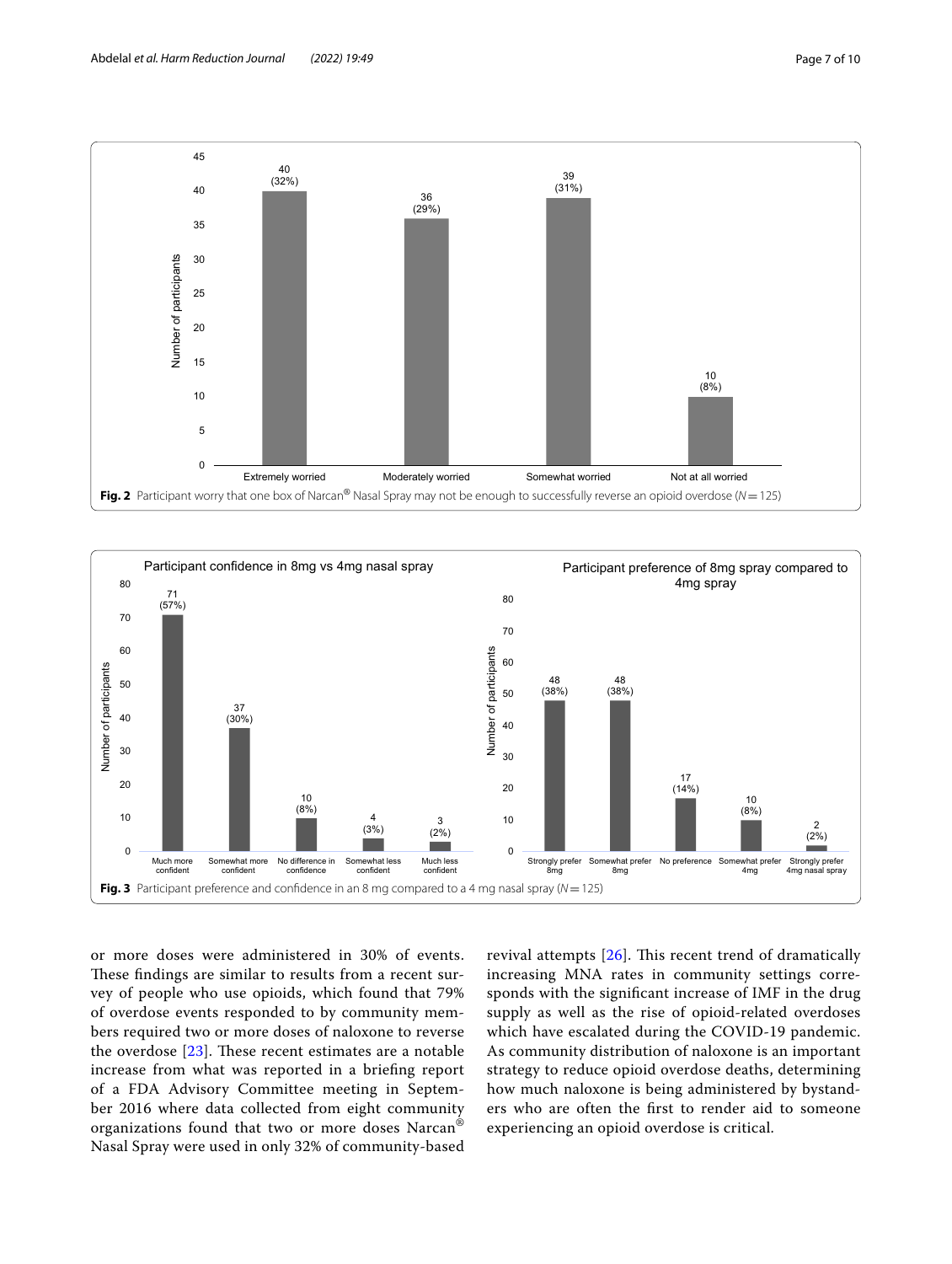

<span id="page-6-0"></span>

<span id="page-6-1"></span>or more doses were administered in 30% of events. These findings are similar to results from a recent survey of people who use opioids, which found that 79% of overdose events responded to by community members required two or more doses of naloxone to reverse the overdose  $[23]$  $[23]$ . These recent estimates are a notable increase from what was reported in a briefng report of a FDA Advisory Committee meeting in September 2016 where data collected from eight community organizations found that two or more doses Narcan® Nasal Spray were used in only 32% of community-based revival attempts  $[26]$ . This recent trend of dramatically increasing MNA rates in community settings corresponds with the signifcant increase of IMF in the drug supply as well as the rise of opioid-related overdoses which have escalated during the COVID-19 pandemic. As community distribution of naloxone is an important strategy to reduce opioid overdose deaths, determining how much naloxone is being administered by bystanders who are often the frst to render aid to someone experiencing an opioid overdose is critical.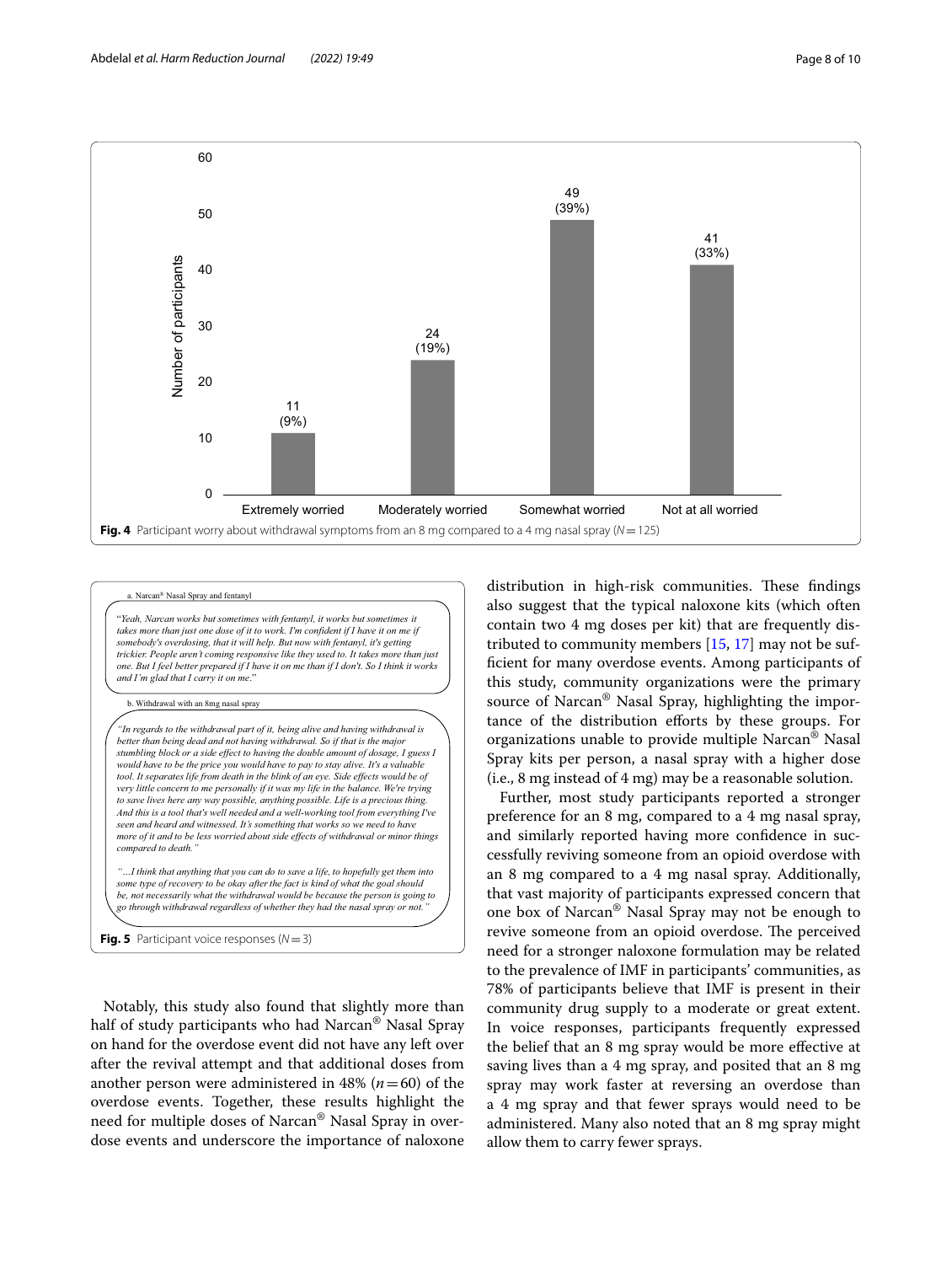

<span id="page-7-0"></span>Narcan<sup>®</sup> Nasal Spray and fent

"*Yeah, Narcan works but sometimes with fentanyl, it works but sometimes it takes more than just one dose of it to work. I'm confident if I have it on me if somebody's overdosing, that it will help. But now with fentanyl, it's getting trickier. People aren't coming responsive like they used to. It takes more than just one. But I feel better prepared if I have it on me than if I don't. So I think it works and I'm glad that I carry it on me*."

b. Withdrawal with an 8mg nasal spray

*"In regards to the withdrawal part of it, being alive and having withdrawal is* **better than being dead and not having withdrawal. So if that is the major of the major of the major of the major of the major of the major of the major**  $\frac{1}{2}$ *stumbling block or a side effect to having the double amount of dosage, I guess I would have to be the price you would have to pay to stay alive. It's a valuable tool. It separates life from death in the blink of an eye. Side effects would be of very little concern to me personally if it was my life in the balance. We're trying to save lives here any way possible, anything possible. Life is a precious thing. And this is a tool that's well needed and a well-working tool from everything I've seen and heard and witnessed. It's something that works so we need to have more of it and to be less worried about side effects of withdrawal or minor things compared to death." "…I think that anything that you can do to save a life, to hopefully get them into*

*some type of recovery to be okay after the fact is kind of what the goal should be, not necessarily what the withdrawal would be because the person is going to go through withdrawal regardless of whether they had the nasal spray or not."*

<span id="page-7-1"></span>**Fig. 5** Participant voice responses ( $N=3$ )

Notably, this study also found that slightly more than half of study participants who had Narcan® Nasal Spray on hand for the overdose event did not have any left over after the revival attempt and that additional doses from another person were administered in 48% ( $n=60$ ) of the overdose events. Together, these results highlight the need for multiple doses of Narcan® Nasal Spray in overdose events and underscore the importance of naloxone distribution in high-risk communities. These findings also suggest that the typical naloxone kits (which often contain two 4 mg doses per kit) that are frequently distributed to community members [[15,](#page-9-11) [17](#page-9-13)] may not be suffcient for many overdose events. Among participants of this study, community organizations were the primary source of Narcan® Nasal Spray, highlighting the importance of the distribution eforts by these groups. For organizations unable to provide multiple Narcan® Nasal Spray kits per person, a nasal spray with a higher dose (i.e., 8 mg instead of 4 mg) may be a reasonable solution.

Further, most study participants reported a stronger preference for an 8 mg, compared to a 4 mg nasal spray, and similarly reported having more confdence in successfully reviving someone from an opioid overdose with an 8 mg compared to a 4 mg nasal spray. Additionally, that vast majority of participants expressed concern that one box of Narcan® Nasal Spray may not be enough to revive someone from an opioid overdose. The perceived need for a stronger naloxone formulation may be related to the prevalence of IMF in participants' communities, as 78% of participants believe that IMF is present in their community drug supply to a moderate or great extent. In voice responses, participants frequently expressed the belief that an 8 mg spray would be more efective at saving lives than a 4 mg spray, and posited that an 8 mg spray may work faster at reversing an overdose than a 4 mg spray and that fewer sprays would need to be administered. Many also noted that an 8 mg spray might allow them to carry fewer sprays.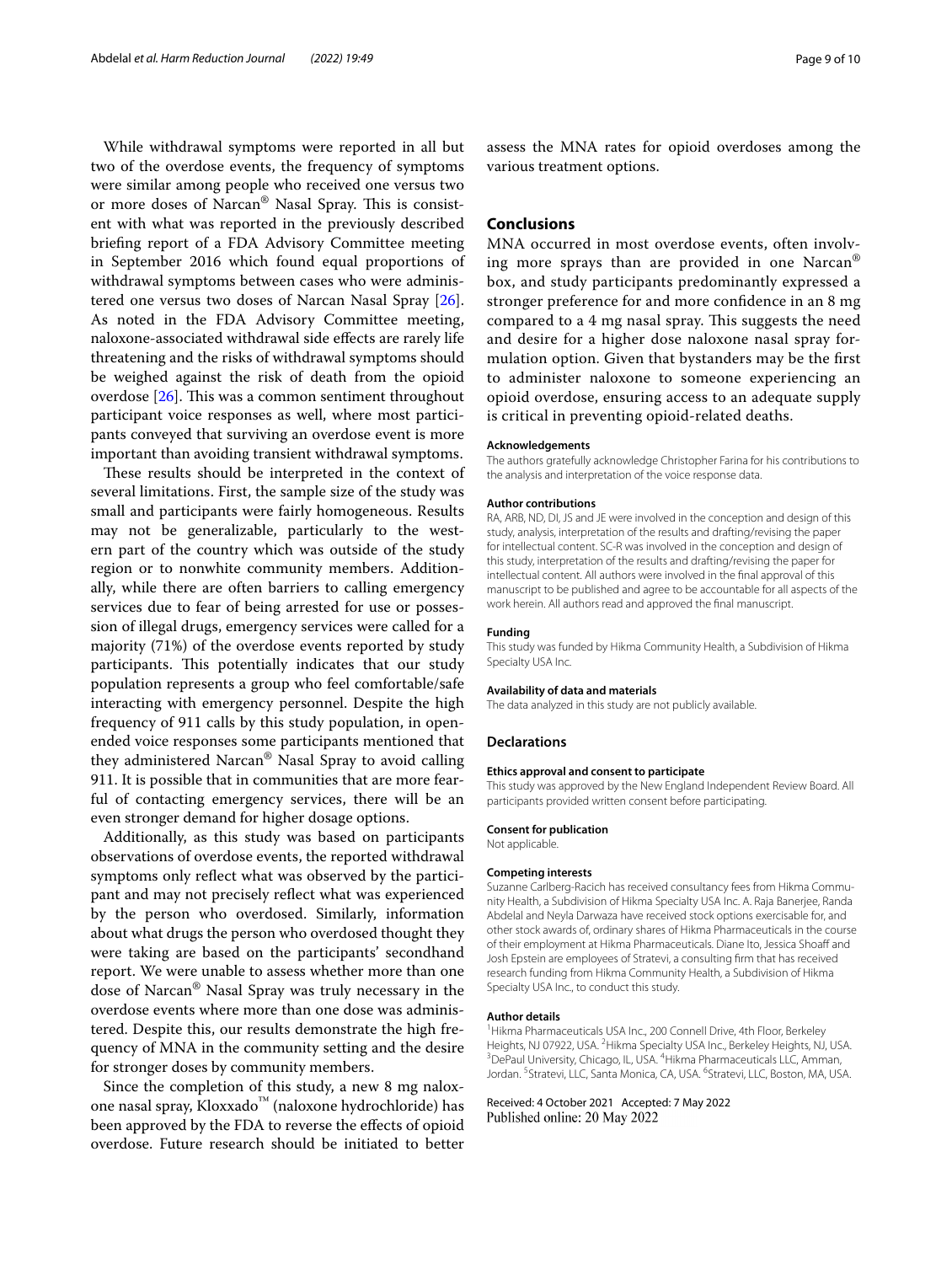While withdrawal symptoms were reported in all but two of the overdose events, the frequency of symptoms were similar among people who received one versus two or more doses of Narcan® Nasal Spray. This is consistent with what was reported in the previously described briefng report of a FDA Advisory Committee meeting in September 2016 which found equal proportions of withdrawal symptoms between cases who were administered one versus two doses of Narcan Nasal Spray [\[26](#page-9-19)]. As noted in the FDA Advisory Committee meeting, naloxone-associated withdrawal side efects are rarely life threatening and the risks of withdrawal symptoms should be weighed against the risk of death from the opioid overdose  $[26]$ . This was a common sentiment throughout participant voice responses as well, where most participants conveyed that surviving an overdose event is more important than avoiding transient withdrawal symptoms.

These results should be interpreted in the context of several limitations. First, the sample size of the study was small and participants were fairly homogeneous. Results may not be generalizable, particularly to the western part of the country which was outside of the study region or to nonwhite community members. Additionally, while there are often barriers to calling emergency services due to fear of being arrested for use or possession of illegal drugs, emergency services were called for a majority (71%) of the overdose events reported by study participants. This potentially indicates that our study population represents a group who feel comfortable/safe interacting with emergency personnel. Despite the high frequency of 911 calls by this study population, in openended voice responses some participants mentioned that they administered Narcan® Nasal Spray to avoid calling 911. It is possible that in communities that are more fearful of contacting emergency services, there will be an even stronger demand for higher dosage options.

Additionally, as this study was based on participants observations of overdose events, the reported withdrawal symptoms only refect what was observed by the participant and may not precisely reflect what was experienced by the person who overdosed. Similarly, information about what drugs the person who overdosed thought they were taking are based on the participants' secondhand report. We were unable to assess whether more than one dose of Narcan® Nasal Spray was truly necessary in the overdose events where more than one dose was administered. Despite this, our results demonstrate the high frequency of MNA in the community setting and the desire for stronger doses by community members.

Since the completion of this study, a new 8 mg naloxone nasal spray, Kloxxado™ (naloxone hydrochloride) has been approved by the FDA to reverse the efects of opioid overdose. Future research should be initiated to better assess the MNA rates for opioid overdoses among the various treatment options.

## **Conclusions**

MNA occurred in most overdose events, often involving more sprays than are provided in one Narcan® box, and study participants predominantly expressed a stronger preference for and more confdence in an 8 mg compared to a 4 mg nasal spray. This suggests the need and desire for a higher dose naloxone nasal spray formulation option. Given that bystanders may be the frst to administer naloxone to someone experiencing an opioid overdose, ensuring access to an adequate supply is critical in preventing opioid-related deaths.

#### **Acknowledgements**

The authors gratefully acknowledge Christopher Farina for his contributions to the analysis and interpretation of the voice response data.

#### **Author contributions**

RA, ARB, ND, DI, JS and JE were involved in the conception and design of this study, analysis, interpretation of the results and drafting/revising the paper for intellectual content. SC-R was involved in the conception and design of this study, interpretation of the results and drafting/revising the paper for intellectual content. All authors were involved in the fnal approval of this manuscript to be published and agree to be accountable for all aspects of the work herein. All authors read and approved the fnal manuscript.

#### **Funding**

This study was funded by Hikma Community Health, a Subdivision of Hikma Specialty USA Inc.

#### **Availability of data and materials**

The data analyzed in this study are not publicly available.

#### **Declarations**

#### **Ethics approval and consent to participate**

This study was approved by the New England Independent Review Board. All participants provided written consent before participating.

#### **Consent for publication**

Not applicable.

#### **Competing interests**

Suzanne Carlberg-Racich has received consultancy fees from Hikma Community Health, a Subdivision of Hikma Specialty USA Inc. A. Raja Banerjee, Randa Abdelal and Neyla Darwaza have received stock options exercisable for, and other stock awards of, ordinary shares of Hikma Pharmaceuticals in the course of their employment at Hikma Pharmaceuticals. Diane Ito, Jessica Shoaff and Josh Epstein are employees of Stratevi, a consulting frm that has received research funding from Hikma Community Health, a Subdivision of Hikma Specialty USA Inc., to conduct this study.

#### **Author details**

<sup>1</sup> Hikma Pharmaceuticals USA Inc., 200 Connell Drive, 4th Floor, Berkeley Heights, NJ 07922, USA. <sup>2</sup> Hikma Specialty USA Inc., Berkeley Heights, NJ, USA.<br><sup>3</sup> DoPaul University Chicago II, USA. <sup>4</sup> Hikma Pharmacouticals U.C. Amman. DePaul University, Chicago, IL, USA. <sup>4</sup> Hikma Pharmaceuticals LLC, Amman, Jordan. <sup>5</sup> Stratevi, LLC, Santa Monica, CA, USA. <sup>6</sup> Stratevi, LLC, Boston, MA, USA.

Received: 4 October 2021 Accepted: 7 May 2022Published online: 20 May 2022